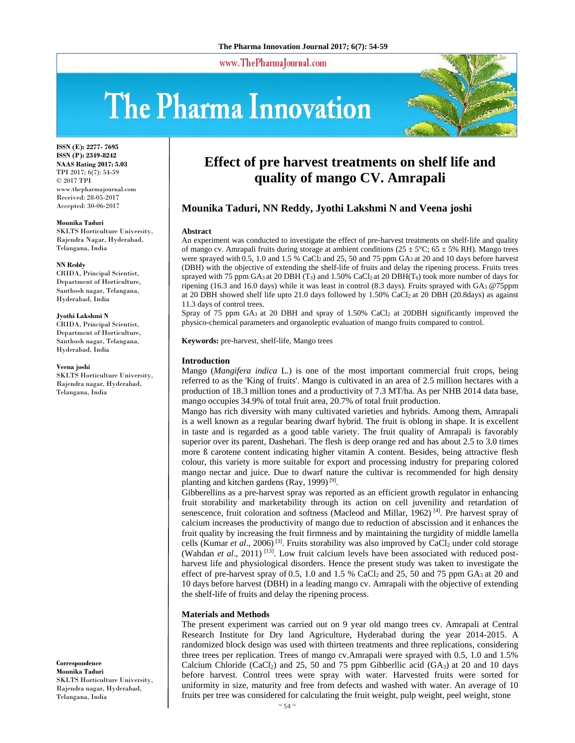www.ThePharmaJournal.com

# The Pharma Innovation



**ISSN (E): 2277- 7695 ISSN (P): 2349-8242 NAAS Rating 2017: 5.03** TPI 2017; 6(7): 54-59 © 2017 TPI www.thepharmajournal.com Received: 28-05-2017 Accepted: 30-06-2017

#### **Mounika Taduri**

SKLTS Horticulture University, Rajendra Nagar, Hyderabad, Telangana, India

#### **NN Reddy**

CRIDA, Principal Scientist, Department of Horticulture, Santhosh nagar, Telangana, Hyderabad, India

#### **Jyothi Lakshmi N**

CRIDA, Principal Scientist, Department of Horticulture, Santhosh nagar, Telangana, Hyderabad, India

#### **Veena joshi**

SKLTS Horticulture University, Rajendra nagar, Hyderabad, Telangana, India

**Correspondence Mounika Taduri**  SKLTS Horticulture University, Rajendra nagar, Hyderabad, Telangana, India

# **Effect of pre harvest treatments on shelf life and quality of mango CV. Amrapali**

# **Mounika Taduri, NN Reddy, Jyothi Lakshmi N and Veena joshi**

#### **Abstract**

An experiment was conducted to investigate the effect of pre-harvest treatments on shelf-life and quality of mango cv. Amrapali fruits during storage at ambient conditions ( $25 \pm 5^{\circ}$ C;  $65 \pm 5^{\circ}$  RH). Mango trees were sprayed with 0.5, 1.0 and 1.5 % CaCl2 and 25, 50 and 75 ppm GA3 at 20 and 10 days before harvest (DBH) with the objective of extending the shelf-life of fruits and delay the ripening process. Fruits trees sprayed with 75 ppm GA<sub>3</sub> at 20 DBH (T<sub>3</sub>) and 1.50% CaCl<sub>2</sub> at 20 DBH(T<sub>6</sub>) took more number of days for ripening (16.3 and 16.0 days) while it was least in control (8.3 days). Fruits sprayed with GA3 @75ppm at 20 DBH showed shelf life upto 21.0 days followed by 1.50% CaCl2 at 20 DBH (20.8days) as against 11.3 days of control trees.

Spray of 75 ppm GA3 at 20 DBH and spray of 1.50% CaCl2 at 20DBH significantly improved the physico-chemical parameters and organoleptic evaluation of mango fruits compared to control.

**Keywords:** pre-harvest, shelf-life, Mango trees

#### **Introduction**

Mango (*Mangifera indica* L.) is one of the most important commercial fruit crops, being referred to as the 'King of fruits'. Mango is cultivated in an area of 2.5 million hectares with a production of 18.3 million tones and a productivity of 7.3 MT/ha*.* As per NHB 2014 data base, mango occupies 34.9% of total fruit area, 20.7% of total fruit production.

Mango has rich diversity with many cultivated varieties and hybrids. Among them, Amrapali is a well known as a regular bearing dwarf hybrid. The fruit is oblong in shape. It is excellent in taste and is regarded as a good table variety. The fruit quality of Amrapali is favorably superior over its parent, Dashehari. The flesh is deep orange red and has about 2.5 to 3.0 times more ß carotene content indicating higher vitamin A content. Besides, being attractive flesh colour, this variety is more suitable for export and processing industry for preparing colored mango nectar and juice. Due to dwarf nature the cultivar is recommended for high density planting and kitchen gardens (Ray, 1999) [9].

Gibberellins as a pre-harvest spray was reported as an efficient growth regulator in enhancing fruit storability and marketability through its action on cell juvenility and retardation of senescence, fruit coloration and softness (Macleod and Millar,  $1962$ )<sup>[4]</sup>. Pre harvest spray of calcium increases the productivity of mango due to reduction of abscission and it enhances the fruit quality by increasing the fruit firmness and by maintaining the turgidity of middle lamella cells (Kumar *et al.*, 2006)<sup>[3]</sup>. Fruits storability was also improved by CaCl<sub>2</sub> under cold storage (Wahdan et al., 2011)<sup>[13]</sup>. Low fruit calcium levels have been associated with reduced postharvest life and physiological disorders. Hence the present study was taken to investigate the effect of pre-harvest spray of 0.5, 1.0 and 1.5 % CaCl<sub>2</sub> and 25, 50 and 75 ppm  $GA_3$  at 20 and 10 days before harvest (DBH) in a leading mango cv. Amrapali with the objective of extending the shelf-life of fruits and delay the ripening process.

#### **Materials and Methods**

The present experiment was carried out on 9 year old mango trees cv. Amrapali at Central Research Institute for Dry land Agriculture, Hyderabad during the year 2014-2015. A randomized block design was used with thirteen treatments and three replications, considering three trees per replication. Trees of mango cv.Amrapali were sprayed with 0.5, 1.0 and 1.5% Calcium Chloride (CaCl<sub>2</sub>) and 25, 50 and 75 ppm Gibberllic acid (GA<sub>3</sub>) at 20 and 10 days before harvest. Control trees were spray with water. Harvested fruits were sorted for uniformity in size, maturity and free from defects and washed with water. An average of 10 fruits per tree was considered for calculating the fruit weight, pulp weight, peel weight, stone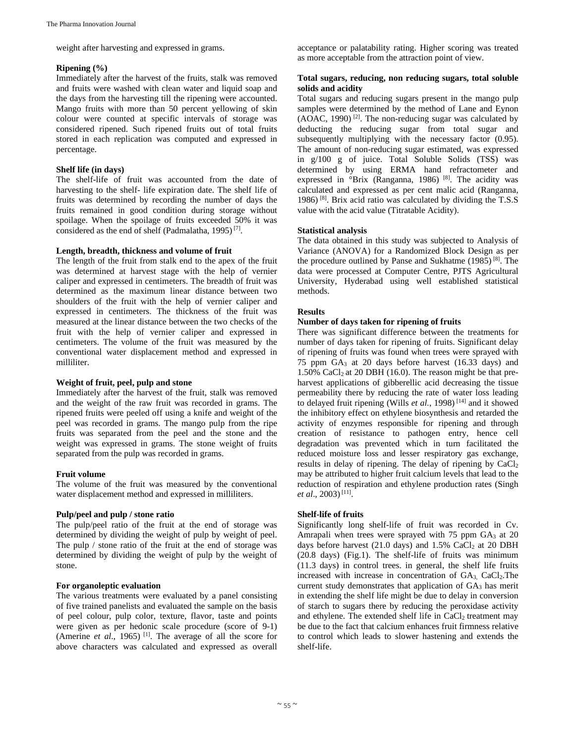weight after harvesting and expressed in grams.

#### **Ripening (%)**

Immediately after the harvest of the fruits, stalk was removed and fruits were washed with clean water and liquid soap and the days from the harvesting till the ripening were accounted. Mango fruits with more than 50 percent yellowing of skin colour were counted at specific intervals of storage was considered ripened. Such ripened fruits out of total fruits stored in each replication was computed and expressed in percentage.

# **Shelf life (in days)**

The shelf-life of fruit was accounted from the date of harvesting to the shelf- life expiration date. The shelf life of fruits was determined by recording the number of days the fruits remained in good condition during storage without spoilage. When the spoilage of fruits exceeded 50% it was considered as the end of shelf (Padmalatha, 1995) [7].

# **Length, breadth, thickness and volume of fruit**

The length of the fruit from stalk end to the apex of the fruit was determined at harvest stage with the help of vernier caliper and expressed in centimeters. The breadth of fruit was determined as the maximum linear distance between two shoulders of the fruit with the help of vernier caliper and expressed in centimeters. The thickness of the fruit was measured at the linear distance between the two checks of the fruit with the help of vernier caliper and expressed in centimeters. The volume of the fruit was measured by the conventional water displacement method and expressed in milliliter.

# **Weight of fruit, peel, pulp and stone**

Immediately after the harvest of the fruit, stalk was removed and the weight of the raw fruit was recorded in grams. The ripened fruits were peeled off using a knife and weight of the peel was recorded in grams. The mango pulp from the ripe fruits was separated from the peel and the stone and the weight was expressed in grams. The stone weight of fruits separated from the pulp was recorded in grams.

# **Fruit volume**

The volume of the fruit was measured by the conventional water displacement method and expressed in milliliters.

# **Pulp/peel and pulp / stone ratio**

The pulp/peel ratio of the fruit at the end of storage was determined by dividing the weight of pulp by weight of peel. The pulp / stone ratio of the fruit at the end of storage was determined by dividing the weight of pulp by the weight of stone.

# **For organoleptic evaluation**

The various treatments were evaluated by a panel consisting of five trained panelists and evaluated the sample on the basis of peel colour, pulp color, texture, flavor, taste and points were given as per hedonic scale procedure (score of 9-1) (Amerine *et al.*, 1965)<sup>[1]</sup>. The average of all the score for above characters was calculated and expressed as overall acceptance or palatability rating. Higher scoring was treated as more acceptable from the attraction point of view.

#### **Total sugars, reducing, non reducing sugars, total soluble solids and acidity**

Total sugars and reducing sugars present in the mango pulp samples were determined by the method of Lane and Eynon  $(AOAC, 1990)$ <sup>[2]</sup>. The non-reducing sugar was calculated by deducting the reducing sugar from total sugar and subsequently multiplying with the necessary factor (0.95). The amount of non-reducing sugar estimated, was expressed in g/100 g of juice. Total Soluble Solids (TSS) was determined by using ERMA hand refractometer and expressed in <sup>°</sup>Brix (Ranganna, 1986)<sup>[8]</sup>. The acidity was calculated and expressed as per cent malic acid (Ranganna, 1986) [8]. Brix acid ratio was calculated by dividing the T.S.S value with the acid value (Titratable Acidity).

# **Statistical analysis**

The data obtained in this study was subjected to Analysis of Variance (ANOVA) for a Randomized Block Design as per the procedure outlined by Panse and Sukhatme (1985) [8]. The data were processed at Computer Centre, PJTS Agricultural University, Hyderabad using well established statistical methods.

# **Results**

# **Number of days taken for ripening of fruits**

There was significant difference between the treatments for number of days taken for ripening of fruits. Significant delay of ripening of fruits was found when trees were sprayed with 75 ppm  $GA_3$  at 20 days before harvest (16.33 days) and 1.50% CaCl<sub>2</sub> at 20 DBH (16.0). The reason might be that preharvest applications of gibberellic acid decreasing the tissue permeability there by reducing the rate of water loss leading to delayed fruit ripening (Wills *et al.*, 1998) [14] and it showed the inhibitory effect on ethylene biosynthesis and retarded the activity of enzymes responsible for ripening and through creation of resistance to pathogen entry, hence cell degradation was prevented which in turn facilitated the reduced moisture loss and lesser respiratory gas exchange, results in delay of ripening. The delay of ripening by CaCl<sub>2</sub> may be attributed to higher fruit calcium levels that lead to the reduction of respiration and ethylene production rates (Singh *et al*., 2003) [11].

# **Shelf-life of fruits**

Significantly long shelf-life of fruit was recorded in Cv. Amrapali when trees were sprayed with  $75$  ppm  $GA_3$  at  $20$ days before harvest  $(21.0 \text{ days})$  and  $1.5\%$  CaCl<sub>2</sub> at 20 DBH (20.8 days) (Fig.1). The shelf-life of fruits was minimum (11.3 days) in control trees. in general, the shelf life fruits increased with increase in concentration of  $GA_3$ ,  $CaCl<sub>2</sub>$ . The current study demonstrates that application of  $GA<sub>3</sub>$  has merit in extending the shelf life might be due to delay in conversion of starch to sugars there by reducing the peroxidase activity and ethylene. The extended shelf life in  $CaCl<sub>2</sub>$  treatment may be due to the fact that calcium enhances fruit firmness relative to control which leads to slower hastening and extends the shelf-life.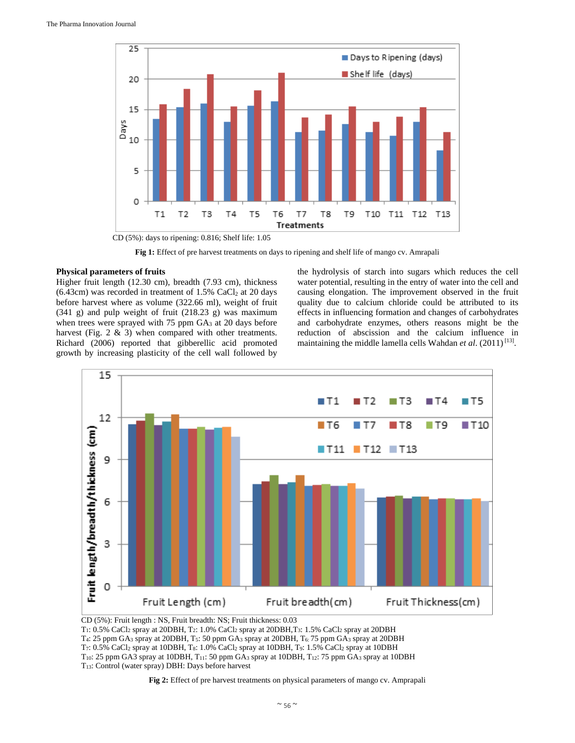

**Fig 1:** Effect of pre harvest treatments on days to ripening and shelf life of mango cv. Amrapali

#### **Physical parameters of fruits**

Higher fruit length (12.30 cm), breadth (7.93 cm), thickness  $(6.43cm)$  was recorded in treatment of 1.5% CaCl<sub>2</sub> at 20 days before harvest where as volume (322.66 ml), weight of fruit (341 g) and pulp weight of fruit (218.23 g) was maximum when trees were sprayed with 75 ppm  $GA<sub>3</sub>$  at 20 days before harvest (Fig. 2 & 3) when compared with other treatments. Richard (2006) reported that gibberellic acid promoted growth by increasing plasticity of the cell wall followed by the hydrolysis of starch into sugars which reduces the cell water potential, resulting in the entry of water into the cell and causing elongation. The improvement observed in the fruit quality due to calcium chloride could be attributed to its effects in influencing formation and changes of carbohydrates and carbohydrate enzymes, others reasons might be the reduction of abscission and the calcium influence in maintaining the middle lamella cells Wahdan *et al*. (2011) [13].



CD (5%): Fruit length : NS, Fruit breadth: NS; Fruit thickness: 0.03

 $T_1$ : 0.5% CaCl<sub>2</sub> spray at 20DBH, T<sub>2</sub>: 1.0% CaCl<sub>2</sub> spray at 20DBH, T<sub>3</sub>: 1.5% CaCl<sub>2</sub> spray at 20DBH T4: 25 ppm GA3 spray at 20DBH, T5: 50 ppm GA3 spray at 20DBH, T6: 75 ppm GA3 spray at 20DBH T7: 0.5% CaCl2 spray at 10DBH, T8: 1.0% CaCl2 spray at 10DBH, T9: 1.5% CaCl2 spray at 10DBH T10: 25 ppm GA3 spray at 10DBH, T11: 50 ppm GA3 spray at 10DBH, T12: 75 ppm GA3 spray at 10DBH T13: Control (water spray) DBH: Days before harvest

**Fig 2:** Effect of pre harvest treatments on physical parameters of mango cv. Amprapali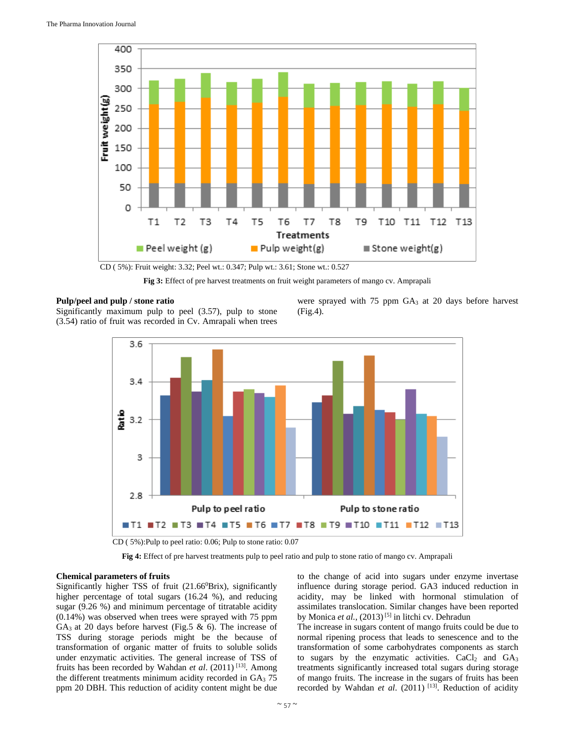

CD ( 5%): Fruit weight: 3.32; Peel wt.: 0.347; Pulp wt.: 3.61; Stone wt.: 0.527

**Fig 3:** Effect of pre harvest treatments on fruit weight parameters of mango cv. Amprapali

#### **Pulp/peel and pulp / stone ratio**

Significantly maximum pulp to peel (3.57), pulp to stone (3.54) ratio of fruit was recorded in Cv. Amrapali when trees were sprayed with 75 ppm GA<sub>3</sub> at 20 days before harvest (Fig.4).



**Fig 4:** Effect of pre harvest treatments pulp to peel ratio and pulp to stone ratio of mango cv. Amprapali

#### **Chemical parameters of fruits**

Significantly higher TSS of fruit (21.66<sup>0</sup>Brix), significantly higher percentage of total sugars (16.24 %), and reducing sugar (9.26 %) and minimum percentage of titratable acidity (0.14%) was observed when trees were sprayed with 75 ppm GA<sub>3</sub> at 20 days before harvest (Fig.5  $\&$  6). The increase of TSS during storage periods might be the because of transformation of organic matter of fruits to soluble solids under enzymatic activities. The general increase of TSS of fruits has been recorded by Wahdan *et al*. (2011) [13]. Among the different treatments minimum acidity recorded in  $GA<sub>3</sub>$  75 ppm 20 DBH. This reduction of acidity content might be due

to the change of acid into sugars under enzyme invertase influence during storage period. GA3 induced reduction in acidity, may be linked with hormonal stimulation of assimilates translocation. Similar changes have been reported by Monica *et al.*, (2013)<sup>[5]</sup> in litchi cv. Dehradun

The increase in sugars content of mango fruits could be due to normal ripening process that leads to senescence and to the transformation of some carbohydrates components as starch to sugars by the enzymatic activities.  $CaCl<sub>2</sub>$  and  $GA<sub>3</sub>$ treatments significantly increased total sugars during storage of mango fruits. The increase in the sugars of fruits has been recorded by Wahdan *et al.* (2011)<sup>[13]</sup>. Reduction of acidity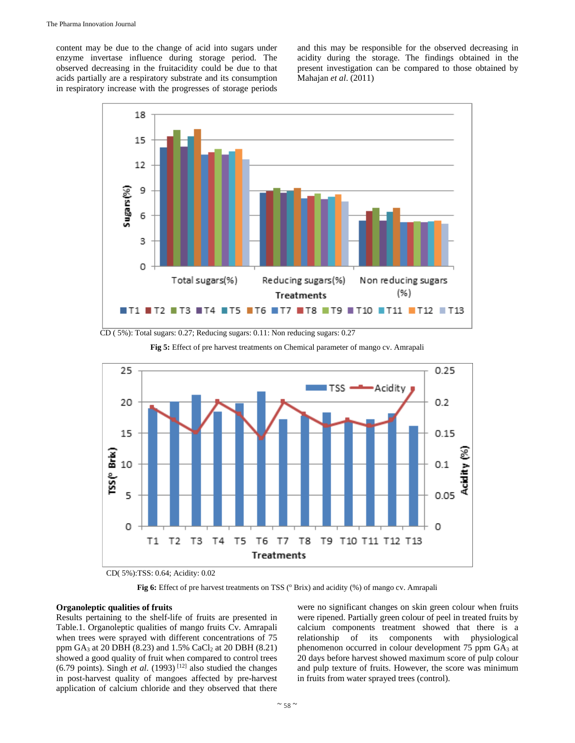content may be due to the change of acid into sugars under enzyme invertase influence during storage period. The observed decreasing in the fruitacidity could be due to that acids partially are a respiratory substrate and its consumption in respiratory increase with the progresses of storage periods and this may be responsible for the observed decreasing in acidity during the storage. The findings obtained in the present investigation can be compared to those obtained by Mahajan *et al*. (2011)



CD ( 5%): Total sugars: 0.27; Reducing sugars: 0.11: Non reducing sugars: 0.27



**Fig 5:** Effect of pre harvest treatments on Chemical parameter of mango cv. Amrapali

CD( 5%):TSS: 0.64; Acidity: 0.02

Fig 6: Effect of pre harvest treatments on TSS ( $^{\circ}$  Brix) and acidity (%) of mango cv. Amrapali

# **Organoleptic qualities of fruits**

Results pertaining to the shelf-life of fruits are presented in Table.1. Organoleptic qualities of mango fruits Cv. Amrapali when trees were sprayed with different concentrations of 75 ppm  $GA_3$  at 20 DBH (8.23) and 1.5% CaCl<sub>2</sub> at 20 DBH (8.21) showed a good quality of fruit when compared to control trees (6.79 points). Singh *et al.* (1993)<sup>[12]</sup> also studied the changes in post-harvest quality of mangoes affected by pre-harvest application of calcium chloride and they observed that there

were no significant changes on skin green colour when fruits were ripened. Partially green colour of peel in treated fruits by calcium components treatment showed that there is a relationship of its components with physiological phenomenon occurred in colour development 75 ppm GA<sub>3</sub> at 20 days before harvest showed maximum score of pulp colour and pulp texture of fruits. However, the score was minimum in fruits from water sprayed trees (control).